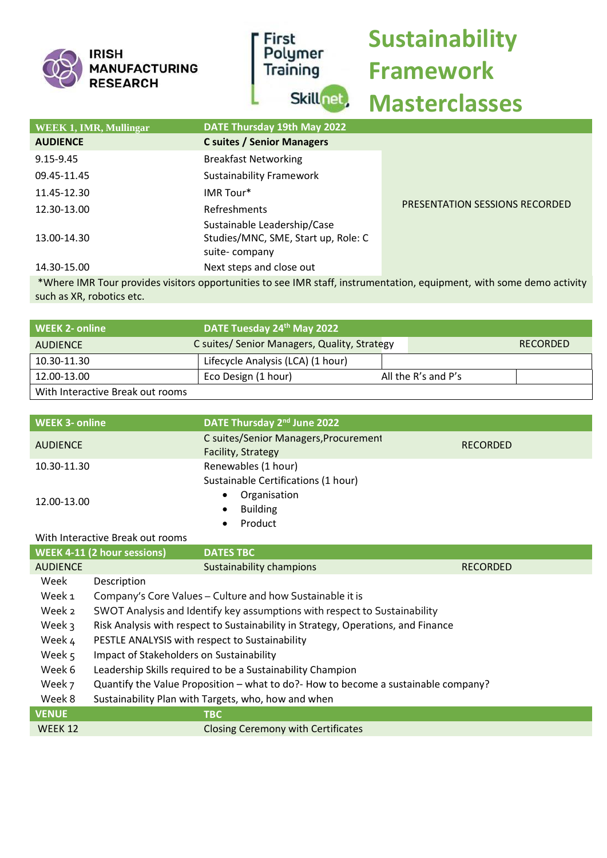| <b>IRISH</b><br><b>MANUFACTURING</b><br><b>RESEARCH</b> | First<br>Polymer<br>Training<br>Skill <sub>net</sub> | <b>Sustainability</b><br><b>Framework</b><br><b>Masterclasses</b> |
|---------------------------------------------------------|------------------------------------------------------|-------------------------------------------------------------------|
| <b>WEEK 1, IMR, Mullingar</b>                           | DATE Thursday 19th May 2022                          |                                                                   |
| <b>AUDIENCE</b>                                         | <b>C suites / Senior Managers</b>                    |                                                                   |
| 9.15-9.45                                               | <b>Breakfast Networking</b>                          |                                                                   |
| 09.45-11.45                                             | <b>Sustainability Framework</b>                      |                                                                   |

| 11.45-12.30                                                                                                       | IMR Tour*                           |                                |  |  |
|-------------------------------------------------------------------------------------------------------------------|-------------------------------------|--------------------------------|--|--|
| 12.30-13.00                                                                                                       | Refreshments                        | PRESENTATION SESSIONS RECORDED |  |  |
|                                                                                                                   | Sustainable Leadership/Case         |                                |  |  |
| 13.00-14.30                                                                                                       | Studies/MNC, SME, Start up, Role: C |                                |  |  |
|                                                                                                                   | suite-company                       |                                |  |  |
| 14.30-15.00                                                                                                       | Next steps and close out            |                                |  |  |
| Where IMR Tour provides visitors opportunities to see IMR staff instrumentation equipment with some demo activity |                                     |                                |  |  |

Where IMR Tour provides visitors opportunities to see IMR staff, instrumentation, equipment, with some demo activity such as XR, robotics etc.

| WEEK 2- online                   | DATE Tuesday 24th May 2022                   |                     |                 |
|----------------------------------|----------------------------------------------|---------------------|-----------------|
| <b>AUDIENCE</b>                  | C suites/ Senior Managers, Quality, Strategy |                     | <b>RECORDED</b> |
| 10.30-11.30                      | Lifecycle Analysis (LCA) (1 hour)            |                     |                 |
| 12.00-13.00                      | Eco Design (1 hour)                          | All the R's and P's |                 |
| With Interactive Break out rooms |                                              |                     |                 |

| <b>WEEK 3- online</b> | DATE Thursday 2 <sup>nd</sup> June 2022                     |                 |
|-----------------------|-------------------------------------------------------------|-----------------|
| <b>AUDIENCE</b>       | C suites/Senior Managers, Procurement<br>Facility, Strategy | <b>RECORDED</b> |
| 10.30-11.30           | Renewables (1 hour)<br>Sustainable Certifications (1 hour)  |                 |
| 12.00-13.00           | Organisation<br><b>Building</b><br>$\bullet$<br>Product     |                 |

## With Interactive Break out rooms

 $\overline{\phantom{a}}$ 

|                 | <b>WEEK 4-11 (2 hour sessions)</b><br><b>DATES TBC</b>                             |                 |
|-----------------|------------------------------------------------------------------------------------|-----------------|
| <b>AUDIENCE</b> | Sustainability champions                                                           | <b>RECORDED</b> |
| Week            | Description                                                                        |                 |
| Week 1          | Company's Core Values - Culture and how Sustainable it is                          |                 |
| Week 2          | SWOT Analysis and Identify key assumptions with respect to Sustainability          |                 |
| Week 3          | Risk Analysis with respect to Sustainability in Strategy, Operations, and Finance  |                 |
| Week 4          | PESTLE ANALYSIS with respect to Sustainability                                     |                 |
| Week 5          | Impact of Stakeholders on Sustainability                                           |                 |
| Week 6          | Leadership Skills required to be a Sustainability Champion                         |                 |
| Week 7          | Quantify the Value Proposition – what to do?- How to become a sustainable company? |                 |
| Week 8          | Sustainability Plan with Targets, who, how and when                                |                 |
| <b>VENUE</b>    | <b>TBC</b>                                                                         |                 |
| <b>WEEK 12</b>  | <b>Closing Ceremony with Certificates</b>                                          |                 |